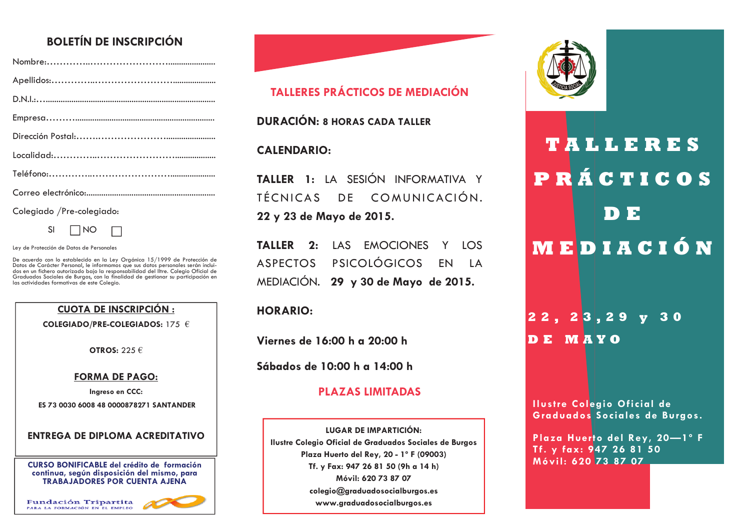# **ROLETÍN DE INSCRIPCIÓN**

Colegiado / Pre-colegiado:



Ley de Protección de Datos de Personales

De acuerdo con lo establecido en la Ley Orgánica 15/1999 de Protección de Datos de Carácter Personal, le informamos que sus datos personales serán incluidos en un fichero autorizado bajo la responsabilidad del Iltre. Colegio Oficial de Graduados Sociales de Burgos, con la finalidad de gestionar su participación en las actividades formativas de este Colegio.

## **CUOTA DE INSCRIPCIÓN :**

COLEGIADO/PRE-COLEGIADOS: 175 €

OTROS:  $225 \in$ 

### **FORMA DE PAGO:**

Ingreso en CCC: ES 73 0030 6008 48 0000878271 SANTANDER

## **ENTREGA DE DIPLOMA ACREDITATIVO**

**CURSO BONIFICABLE del crédito de formación** continua, según disposición del mismo, para **TRABAJADORES POR CUENTA AJENA** 





**DURACIÓN: 8 HORAS CADA TALLER** 

# **CALENDARIO:**

**TALLER 1:** LA SESIÓN INFORMATIVA Y TÉCNICAS DE COMUNICACIÓN. 22 y 23 de Mayo de 2015.

**TALLER 2: IAS FMOCIONES**  $Y$  IOS ASPECTOS PSICOLÓGICOS EN LA MEDIACIÓN. 29 y 30 de Mayo de 2015.

## **HORARIO:**

Viernes de 16:00 h a  $20:00$  h

Sábados de 10:00 h a 14:00 h

# **PLAZAS LIMITADAS**

**LUGAR DE IMPARTICIÓN:** Ilustre Colegio Oficial de Graduados Sociales de Burgos Plaza Huerto del Rey, 20 - 1° F (09003) Tf. y Fax: 947 26 81 50 (9h a 14 h) Móvil: 620 73 87 07 colegio@graduadosocialburgos.es www.graduadosocialburgos.es



# **TALLERES PRÁCTICOS** D E MEDIACIÓN

 $2\overline{2}$ ,  $2\overline{3}$ ,  $2\overline{9}$  $\mathbf{v}$ 30 DE MAYO

**Ilustre Colegio Oficial de** Graduados Sociales de Burgos.

Plaza Huerto del Rey, 20-1°F Tf. y fax: 947 26 81 50 Móvil: 620 73 87 07